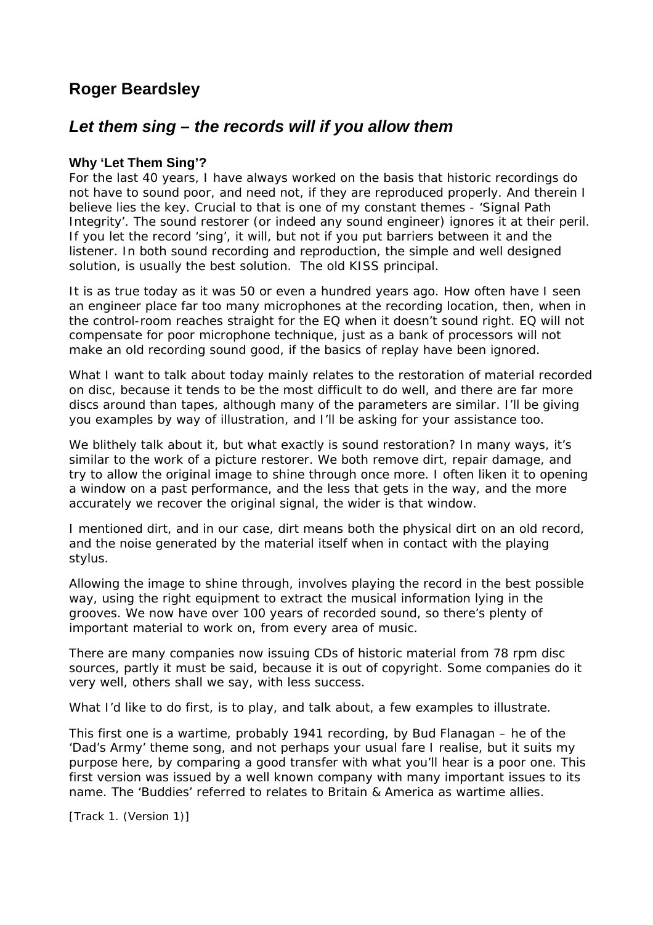# **Roger Beardsley**

## *Let them sing – the records will if you allow them*

## **Why 'Let Them Sing'?**

For the last 40 years, I have always worked on the basis that historic recordings do not have to sound poor, and need not, if they are reproduced properly. And therein I believe lies the key. Crucial to that is one of my constant themes - 'Signal Path Integrity'. The sound restorer (or indeed any sound engineer) ignores it at their peril. If you let the record 'sing', it will, but not if you put barriers between it and the listener. In both sound recording and reproduction, the simple and well designed solution, is usually the best solution. The old KISS principal.

It is as true today as it was 50 or even a hundred years ago. How often have I seen an engineer place far too many microphones at the recording location, then, when in the control-room reaches straight for the EQ when it doesn't sound right. EQ will not compensate for poor microphone technique, just as a bank of processors will not make an old recording sound good, if the basics of replay have been ignored.

What I want to talk about today mainly relates to the restoration of material recorded on disc, because it tends to be the most difficult to do well, and there are far more discs around than tapes, although many of the parameters are similar. I'll be giving you examples by way of illustration, and I'll be asking for your assistance too.

We blithely talk about it, but what exactly is sound restoration? In many ways, it's similar to the work of a picture restorer. We both remove dirt, repair damage, and try to allow the original image to shine through once more. I often liken it to opening a window on a past performance, and the less that gets in the way, and the more accurately we recover the original signal, the wider is that window.

I mentioned dirt, and in our case, dirt means both the physical dirt on an old record, and the noise generated by the material itself when in contact with the playing stylus.

Allowing the image to shine through, involves playing the record in the best possible way, using the right equipment to extract the musical information lying in the grooves. We now have over 100 years of recorded sound, so there's plenty of important material to work on, from every area of music.

There are many companies now issuing CDs of historic material from 78 rpm disc sources, partly it must be said, because it is out of copyright. Some companies do it very well, others shall we say, with less success.

What I'd like to do first, is to play, and talk about, a few examples to illustrate.

This first one is a wartime, probably 1941 recording, by Bud Flanagan – he of the 'Dad's Army' theme song, and not perhaps your usual fare I realise, but it suits my purpose here, by comparing a good transfer with what you'll hear is a poor one. This first version was issued by a well known company with many important issues to its name. The 'Buddies' referred to relates to Britain & America as wartime allies.

*[Track 1. (Version 1)]*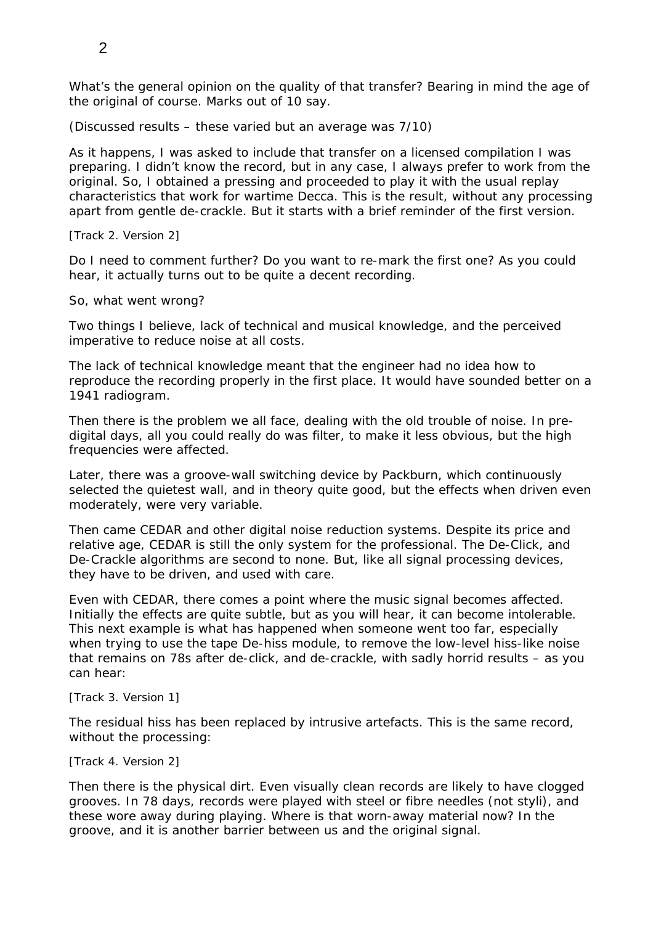What's the general opinion on the quality of that transfer? Bearing in mind the age of the original of course. Marks out of 10 say.

(Discussed results – these varied but an average was 7/10)

As it happens, I was asked to include that transfer on a licensed compilation I was preparing. I didn't know the record, but in any case, I always prefer to work from the original. So, I obtained a pressing and proceeded to play it with the usual replay characteristics that work for wartime Decca. This is the result, without any processing apart from gentle de-crackle. But it starts with a brief reminder of the first version.

### *[Track 2. Version 2]*

Do I need to comment further? Do you want to re-mark the first one? As you could hear, it actually turns out to be quite a decent recording.

### So, what went wrong?

Two things I believe, lack of technical and musical knowledge, and the perceived imperative to reduce noise at all costs.

The lack of technical knowledge meant that the engineer had no idea how to reproduce the recording properly in the first place. It would have sounded better on a 1941 radiogram.

Then there is the problem we all face, dealing with the old trouble of noise. In predigital days, all you could really do was filter, to make it less obvious, but the high frequencies were affected.

Later, there was a groove-wall switching device by Packburn, which continuously selected the quietest wall, and in theory quite good, but the effects when driven even moderately, were very variable.

Then came CEDAR and other digital noise reduction systems. Despite its price and relative age, CEDAR is still the only system for the professional. The De-Click, and De-Crackle algorithms are second to none. But, like all signal processing devices, they have to be driven, and used with care.

Even with CEDAR, there comes a point where the music signal becomes affected. Initially the effects are quite subtle, but as you will hear, it can become intolerable. This next example is what has happened when someone went too far, especially when trying to use the tape De-hiss module, to remove the low-level hiss-like noise that remains on 78s after de-click, and de-crackle, with sadly horrid results – as you can hear:

#### *[Track 3. Version 1]*

The residual hiss has been replaced by intrusive artefacts. This is the same record, without the processing:

#### *[Track 4. Version 2]*

Then there is the physical dirt. Even visually clean records are likely to have clogged grooves. In 78 days, records were played with steel or fibre needles (not styli), and these wore away during playing. Where is that worn-away material now? In the groove, and it is another barrier between us and the original signal.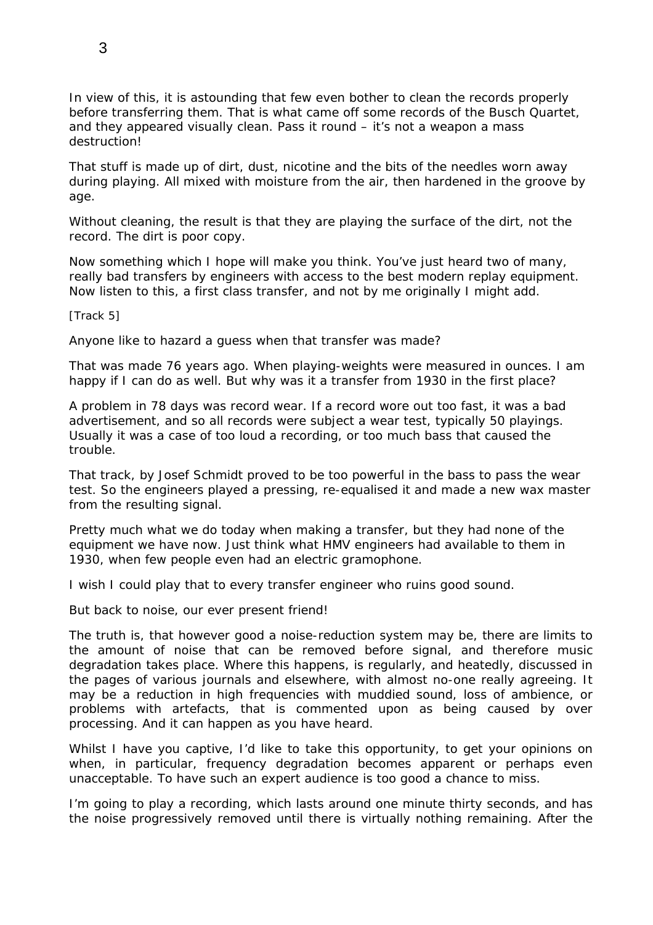In view of this, it is astounding that few even bother to clean the records properly before transferring them. That is what came off some records of the Busch Quartet, and they appeared visually clean. Pass it round – it's not a weapon a mass destruction!

That stuff is made up of dirt, dust, nicotine and the bits of the needles worn away during playing. All mixed with moisture from the air, then hardened in the groove by age.

Without cleaning, the result is that they are playing the surface of the dirt, not the record. The dirt is poor copy.

Now something which I hope will make you think. You've just heard two of many, really bad transfers by engineers with access to the best modern replay equipment. Now listen to this, a first class transfer, and not by me originally I might add.

*[Track 5]* 

Anyone like to hazard a guess when that transfer was made?

That was made 76 years ago. When playing-weights were measured in ounces. I am happy if I can do as well. But why was it a transfer from 1930 in the first place?

A problem in 78 days was record wear. If a record wore out too fast, it was a bad advertisement, and so all records were subject a wear test, typically 50 playings. Usually it was a case of too loud a recording, or too much bass that caused the trouble.

That track, by Josef Schmidt proved to be too powerful in the bass to pass the wear test. So the engineers played a pressing, re-equalised it and made a new wax master from the resulting signal.

Pretty much what we do today when making a transfer, but they had none of the equipment we have now. Just think what HMV engineers had available to them in 1930, when few people even had an electric gramophone.

I wish I could play that to every transfer engineer who ruins good sound.

But back to noise, our ever present friend!

The truth is, that however good a noise-reduction system may be, there are limits to the amount of noise that can be removed before signal, and therefore music degradation takes place. Where this happens, is regularly, and heatedly, discussed in the pages of various journals and elsewhere, with almost no-one really agreeing. It may be a reduction in high frequencies with muddied sound, loss of ambience, or problems with artefacts, that is commented upon as being caused by over processing. And it can happen as you have heard.

Whilst I have you captive, I'd like to take this opportunity, to get your opinions on when, in particular, frequency degradation becomes apparent or perhaps even unacceptable. To have such an expert audience is too good a chance to miss.

I'm going to play a recording, which lasts around one minute thirty seconds, and has the noise progressively removed until there is virtually nothing remaining. After the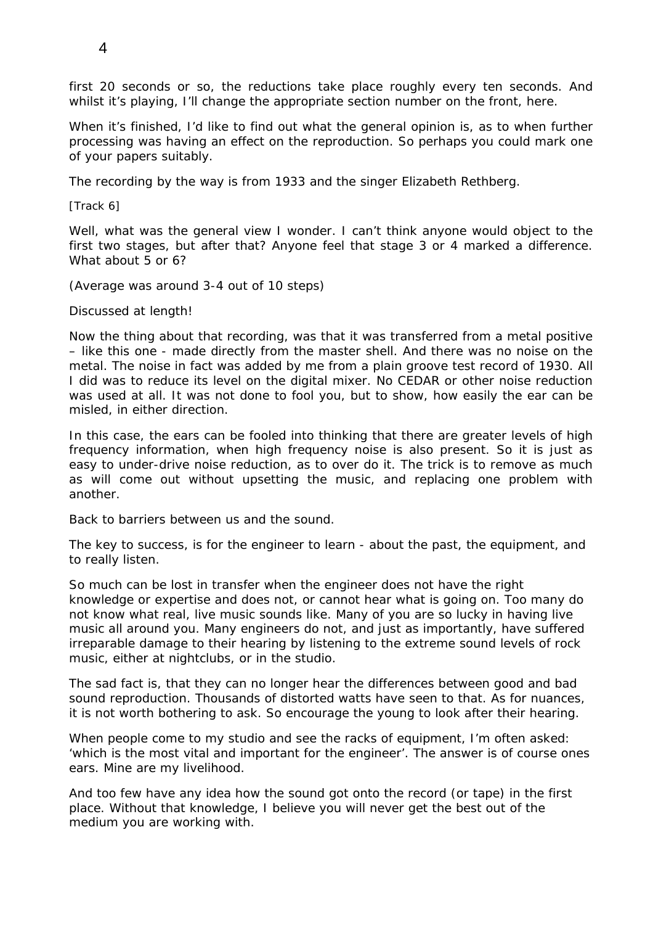first 20 seconds or so, the reductions take place roughly every ten seconds. And whilst it's playing, I'll change the appropriate section number on the front, here.

When it's finished, I'd like to find out what the general opinion is, as to when further processing was having an effect on the reproduction. So perhaps you could mark one of your papers suitably.

The recording by the way is from 1933 and the singer Elizabeth Rethberg.

## *[Track 6]*

Well, what was the general view I wonder. I can't think anyone would object to the first two stages, but after that? Anyone feel that stage 3 or 4 marked a difference. What about 5 or 6?

(Average was around 3-4 out of 10 steps)

Discussed at length!

Now the thing about that recording, was that it was transferred from a metal positive – like this one - made directly from the master shell. And there was no noise on the metal. The noise in fact was added by me from a plain groove test record of 1930. All I did was to reduce its level on the digital mixer. No CEDAR or other noise reduction was used at all. It was not done to fool you, but to show, how easily the ear can be misled, in either direction.

In this case, the ears can be fooled into thinking that there are greater levels of high frequency information, when high frequency noise is also present. So it is just as easy to under-drive noise reduction, as to over do it. The trick is to remove as much as will come out without upsetting the music, and replacing one problem with another.

Back to barriers between us and the sound.

The key to success, is for the engineer to learn - about the past, the equipment, and to really listen.

So much can be lost in transfer when the engineer does not have the right knowledge or expertise and does not, or cannot hear what is going on. Too many do not know what real, live music sounds like. Many of you are so lucky in having live music all around you. Many engineers do not, and just as importantly, have suffered irreparable damage to their hearing by listening to the extreme sound levels of rock music, either at nightclubs, or in the studio.

The sad fact is, that they can no longer hear the differences between good and bad sound reproduction. Thousands of distorted watts have seen to that. As for nuances, it is not worth bothering to ask. So encourage the young to look after their hearing.

When people come to my studio and see the racks of equipment, I'm often asked: 'which is the most vital and important for the engineer'. The answer is of course ones ears. Mine are my livelihood.

And too few have any idea how the sound got onto the record (or tape) in the first place. Without that knowledge, I believe you will never get the best out of the medium you are working with.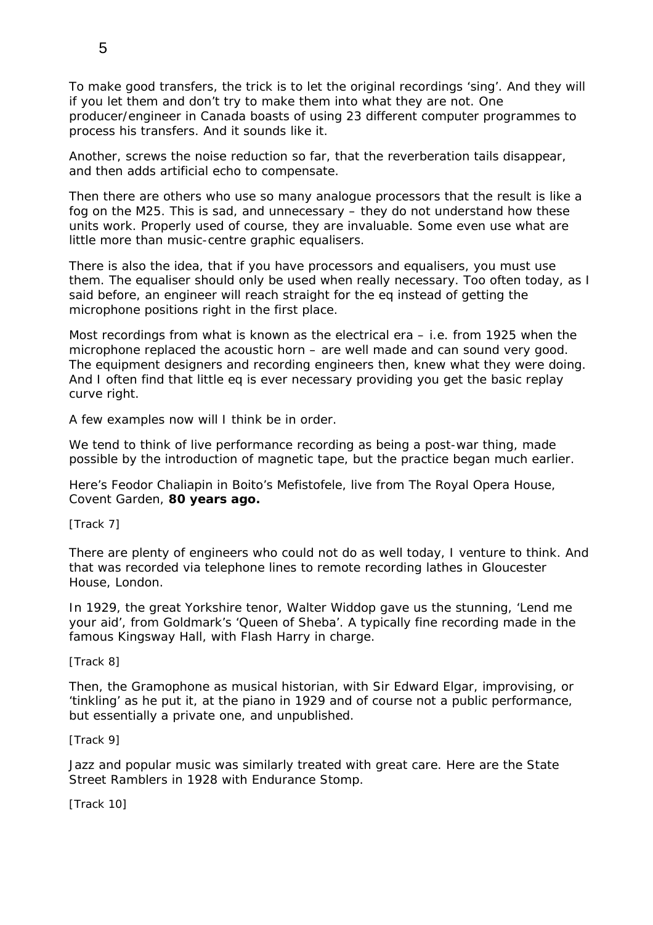To make good transfers, the trick is to let the original recordings 'sing'. And they will if you let them and don't try to make them into what they are not. One producer/engineer in Canada boasts of using 23 different computer programmes to process his transfers. And it sounds like it.

Another, screws the noise reduction so far, that the reverberation tails disappear, and then adds artificial echo to compensate.

Then there are others who use so many analogue processors that the result is like a fog on the M25. This is sad, and unnecessary – they do not understand how these units work. Properly used of course, they are invaluable. Some even use what are little more than music-centre graphic equalisers.

There is also the idea, that if you have processors and equalisers, you must use them. The equaliser should only be used when really necessary. Too often today, as I said before, an engineer will reach straight for the eq instead of getting the microphone positions right in the first place.

Most recordings from what is known as the electrical era – i.e. from 1925 when the microphone replaced the acoustic horn – are well made and can sound very good. The equipment designers and recording engineers then, knew what they were doing. And I often find that little eq is ever necessary providing you get the basic replay curve right.

A few examples now will I think be in order.

We tend to think of live performance recording as being a post-war thing, made possible by the introduction of magnetic tape, but the practice began much earlier.

Here's Feodor Chaliapin in Boito's Mefistofele, live from The Royal Opera House, Covent Garden, **80 years ago.** 

## *[Track 7]*

There are plenty of engineers who could not do as well today, I venture to think. And that was recorded via telephone lines to remote recording lathes in Gloucester House, London.

In 1929, the great Yorkshire tenor, Walter Widdop gave us the stunning, 'Lend me your aid', from Goldmark's 'Queen of Sheba'. A typically fine recording made in the famous Kingsway Hall, with Flash Harry in charge.

## *[Track 8]*

Then, the Gramophone as musical historian, with Sir Edward Elgar, improvising, or 'tinkling' as he put it, at the piano in 1929 and of course not a public performance, but essentially a private one, and unpublished.

## *[Track 9]*

Jazz and popular music was similarly treated with great care. Here are the State Street Ramblers in 1928 with Endurance Stomp.

*[Track 10]*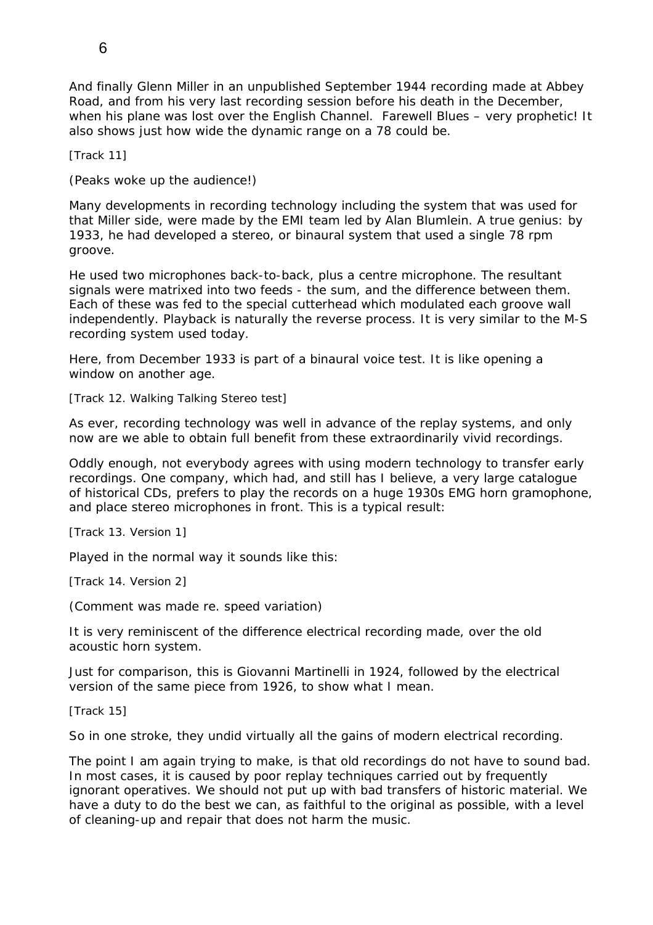And finally Glenn Miller in an unpublished September 1944 recording made at Abbey Road, and from his very last recording session before his death in the December, when his plane was lost over the English Channel. Farewell Blues – very prophetic! It also shows just how wide the dynamic range on a 78 could be.

#### *[Track 11]*

(Peaks woke up the audience!)

Many developments in recording technology including the system that was used for that Miller side, were made by the EMI team led by Alan Blumlein. A true genius: by 1933, he had developed a stereo, or binaural system that used a single 78 rpm groove.

He used two microphones back-to-back, plus a centre microphone. The resultant signals were matrixed into two feeds - the sum, and the difference between them. Each of these was fed to the special cutterhead which modulated each groove wall independently. Playback is naturally the reverse process. It is very similar to the M-S recording system used today.

Here, from December 1933 is part of a binaural voice test. It is like opening a window on another age.

### *[Track 12. Walking Talking Stereo test]*

As ever, recording technology was well in advance of the replay systems, and only now are we able to obtain full benefit from these extraordinarily vivid recordings.

Oddly enough, not everybody agrees with using modern technology to transfer early recordings. One company, which had, and still has I believe, a very large catalogue of historical CDs, prefers to play the records on a huge 1930s EMG horn gramophone, and place stereo microphones in front. This is a typical result:

#### *[Track 13. Version 1]*

Played in the normal way it sounds like this:

*[Track 14. Version 2]* 

(Comment was made re. speed variation)

It is very reminiscent of the difference electrical recording made, over the old acoustic horn system.

Just for comparison, this is Giovanni Martinelli in 1924, followed by the electrical version of the same piece from 1926, to show what I mean.

#### *[Track 15]*

So in one stroke, they undid virtually all the gains of modern electrical recording.

The point I am again trying to make, is that old recordings do not have to sound bad. In most cases, it is caused by poor replay techniques carried out by frequently ignorant operatives. We should not put up with bad transfers of historic material. We have a duty to do the best we can, as faithful to the original as possible, with a level of cleaning-up and repair that does not harm the music.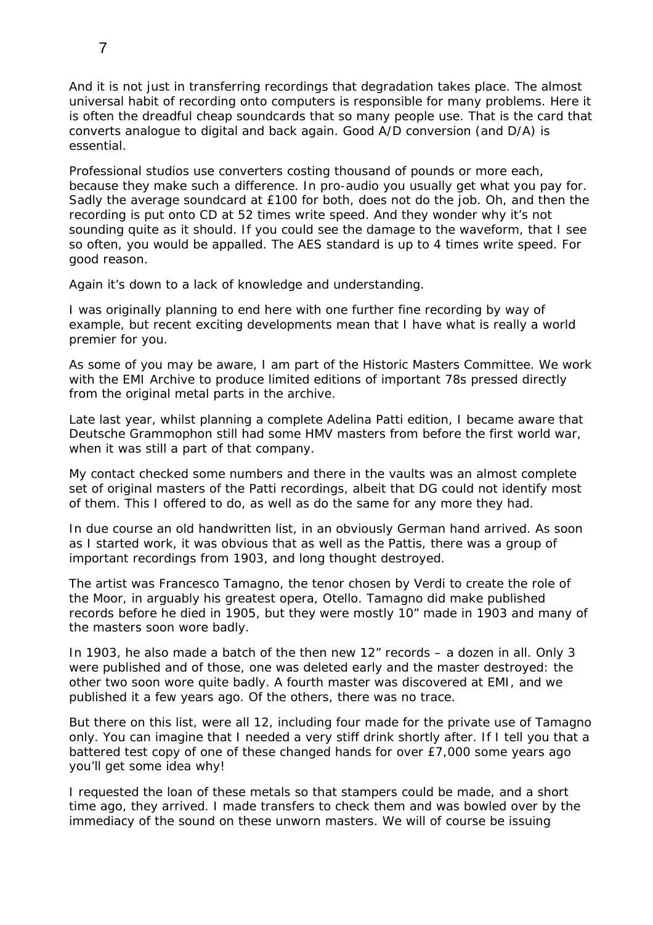And it is not just in transferring recordings that degradation takes place. The almost universal habit of recording onto computers is responsible for many problems. Here it is often the dreadful cheap soundcards that so many people use. That is the card that converts analogue to digital and back again. Good A/D conversion (and D/A) is essential.

Professional studios use converters costing thousand of pounds or more each, because they make such a difference. In pro-audio you usually get what you pay for. Sadly the average soundcard at £100 for both, does not do the job. Oh, and then the recording is put onto CD at 52 times write speed. And they wonder why it's not sounding quite as it should. If you could see the damage to the waveform, that I see so often, you would be appalled. The AES standard is up to 4 times write speed. For good reason.

Again it's down to a lack of knowledge and understanding.

I was originally planning to end here with one further fine recording by way of example, but recent exciting developments mean that I have what is really a world premier for you.

As some of you may be aware, I am part of the Historic Masters Committee. We work with the EMI Archive to produce limited editions of important 78s pressed directly from the original metal parts in the archive.

Late last year, whilst planning a complete Adelina Patti edition, I became aware that Deutsche Grammophon still had some HMV masters from before the first world war, when it was still a part of that company.

My contact checked some numbers and there in the vaults was an almost complete set of original masters of the Patti recordings, albeit that DG could not identify most of them. This I offered to do, as well as do the same for any more they had.

In due course an old handwritten list, in an obviously German hand arrived. As soon as I started work, it was obvious that as well as the Pattis, there was a group of important recordings from 1903, and long thought destroyed.

The artist was Francesco Tamagno, the tenor chosen by Verdi to create the role of the Moor, in arguably his greatest opera, Otello. Tamagno did make published records before he died in 1905, but they were mostly 10" made in 1903 and many of the masters soon wore badly.

In 1903, he also made a batch of the then new 12" records – a dozen in all. Only 3 were published and of those, one was deleted early and the master destroyed: the other two soon wore quite badly. A fourth master was discovered at EMI, and we published it a few years ago. Of the others, there was no trace.

But there on this list, were all 12, including four made for the private use of Tamagno only. You can imagine that I needed a very stiff drink shortly after. If I tell you that a battered test copy of one of these changed hands for over £7,000 some years ago you'll get some idea why!

I requested the loan of these metals so that stampers could be made, and a short time ago, they arrived. I made transfers to check them and was bowled over by the immediacy of the sound on these unworn masters. We will of course be issuing